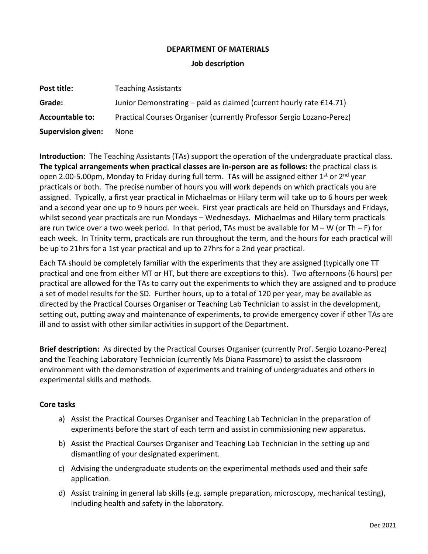## **DEPARTMENT OF MATERIALS**

#### **Job description**

| Post title:               | <b>Teaching Assistants</b>                                            |
|---------------------------|-----------------------------------------------------------------------|
| Grade:                    | Junior Demonstrating – paid as claimed (current hourly rate £14.71)   |
| <b>Accountable to:</b>    | Practical Courses Organiser (currently Professor Sergio Lozano-Perez) |
| <b>Supervision given:</b> | None                                                                  |

**Introduction**: The Teaching Assistants (TAs) support the operation of the undergraduate practical class. **The typical arrangements when practical classes are in-person are as follows:** the practical class is open 2.00-5.00pm, Monday to Friday during full term. TAs will be assigned either 1<sup>st</sup> or 2<sup>nd</sup> year practicals or both. The precise number of hours you will work depends on which practicals you are assigned. Typically, a first year practical in Michaelmas or Hilary term will take up to 6 hours per week and a second year one up to 9 hours per week. First year practicals are held on Thursdays and Fridays, whilst second year practicals are run Mondays – Wednesdays. Michaelmas and Hilary term practicals are run twice over a two week period. In that period, TAs must be available for  $M - W$  (or Th – F) for each week. In Trinity term, practicals are run throughout the term, and the hours for each practical will be up to 21hrs for a 1st year practical and up to 27hrs for a 2nd year practical.

Each TA should be completely familiar with the experiments that they are assigned (typically one TT practical and one from either MT or HT, but there are exceptions to this). Two afternoons (6 hours) per practical are allowed for the TAs to carry out the experiments to which they are assigned and to produce a set of model results for the SD. Further hours, up to a total of 120 per year, may be available as directed by the Practical Courses Organiser or Teaching Lab Technician to assist in the development, setting out, putting away and maintenance of experiments, to provide emergency cover if other TAs are ill and to assist with other similar activities in support of the Department.

**Brief description:** As directed by the Practical Courses Organiser (currently Prof. Sergio Lozano-Perez) and the Teaching Laboratory Technician (currently Ms Diana Passmore) to assist the classroom environment with the demonstration of experiments and training of undergraduates and others in experimental skills and methods.

## **Core tasks**

- a) Assist the Practical Courses Organiser and Teaching Lab Technician in the preparation of experiments before the start of each term and assist in commissioning new apparatus.
- b) Assist the Practical Courses Organiser and Teaching Lab Technician in the setting up and dismantling of your designated experiment.
- c) Advising the undergraduate students on the experimental methods used and their safe application.
- d) Assist training in general lab skills (e.g. sample preparation, microscopy, mechanical testing), including health and safety in the laboratory.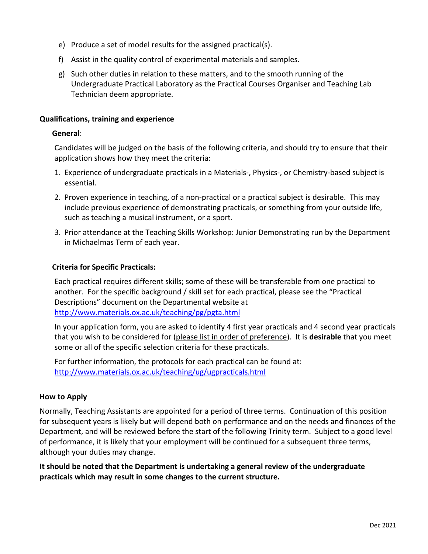- e) Produce a set of model results for the assigned practical(s).
- f) Assist in the quality control of experimental materials and samples.
- g) Such other duties in relation to these matters, and to the smooth running of the Undergraduate Practical Laboratory as the Practical Courses Organiser and Teaching Lab Technician deem appropriate.

## **Qualifications, training and experience**

## **General**:

Candidates will be judged on the basis of the following criteria, and should try to ensure that their application shows how they meet the criteria:

- 1. Experience of undergraduate practicals in a Materials-, Physics-, or Chemistry-based subject is essential.
- 2. Proven experience in teaching, of a non-practical or a practical subject is desirable. This may include previous experience of demonstrating practicals, or something from your outside life, such as teaching a musical instrument, or a sport.
- 3. Prior attendance at the Teaching Skills Workshop: Junior Demonstrating run by the Department in Michaelmas Term of each year.

# **Criteria for Specific Practicals:**

Each practical requires different skills; some of these will be transferable from one practical to another. For the specific background / skill set for each practical, please see the "Practical Descriptions" document on the Departmental website at <http://www.materials.ox.ac.uk/teaching/pg/pgta.html>

In your application form, you are asked to identify 4 first year practicals and 4 second year practicals that you wish to be considered for (please list in order of preference). It is **desirable** that you meet some or all of the specific selection criteria for these practicals.

For further information, the protocols for each practical can be found at: <http://www.materials.ox.ac.uk/teaching/ug/ugpracticals.html>

## **How to Apply**

Normally, Teaching Assistants are appointed for a period of three terms. Continuation of this position for subsequent years is likely but will depend both on performance and on the needs and finances of the Department, and will be reviewed before the start of the following Trinity term. Subject to a good level of performance, it is likely that your employment will be continued for a subsequent three terms, although your duties may change.

**It should be noted that the Department is undertaking a general review of the undergraduate practicals which may result in some changes to the current structure.**